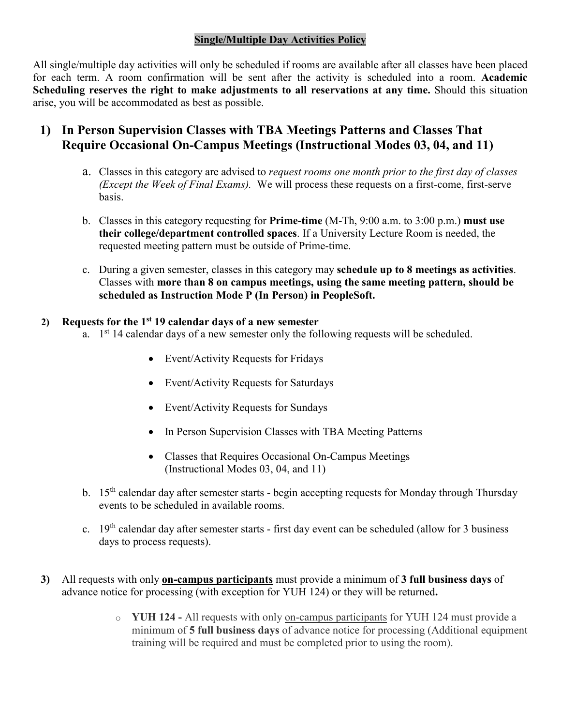## **Single/Multiple Day Activities Policy**

All single/multiple day activities will only be scheduled if rooms are available after all classes have been placed for each term. A room confirmation will be sent after the activity is scheduled into a room. **Academic Scheduling reserves the right to make adjustments to all reservations at any time.** Should this situation arise, you will be accommodated as best as possible.

## **1) In Person Supervision Classes with TBA Meetings Patterns and Classes That Require Occasional On-Campus Meetings (Instructional Modes 03, 04, and 11)**

- a. Classes in this category are advised to *request rooms one month prior to the first day of classes (Except the Week of Final Exams).* We will process these requests on a first-come, first-serve basis.
- b. Classes in this category requesting for **Prime-time** (M-Th, 9:00 a.m. to 3:00 p.m.) **must use their college/department controlled spaces**. If a University Lecture Room is needed, the requested meeting pattern must be outside of Prime-time.
- c. During a given semester, classes in this category may **schedule up to 8 meetings as activities**. Classes with **more than 8 on campus meetings, using the same meeting pattern, should be scheduled as Instruction Mode P (In Person) in PeopleSoft.**

## **2) Requests for the 1st 19 calendar days of a new semester**

- a.  $1<sup>st</sup> 14$  calendar days of a new semester only the following requests will be scheduled.
	- Event/Activity Requests for Fridays
	- Event/Activity Requests for Saturdays
	- Event/Activity Requests for Sundays
	- In Person Supervision Classes with TBA Meeting Patterns
	- Classes that Requires Occasional On-Campus Meetings (Instructional Modes 03, 04, and 11)
- b. 15<sup>th</sup> calendar day after semester starts begin accepting requests for Monday through Thursday events to be scheduled in available rooms.
- c. 19th calendar day after semester starts first day event can be scheduled (allow for 3 business days to process requests).
- **3)** All requests with only **on-campus participants** must provide a minimum of **3 full business days** of advance notice for processing (with exception for YUH 124) or they will be returned**.**
	- o **YUH 124 -** All requests with only on-campus participants for YUH 124 must provide a minimum of **5 full business days** of advance notice for processing (Additional equipment training will be required and must be completed prior to using the room).